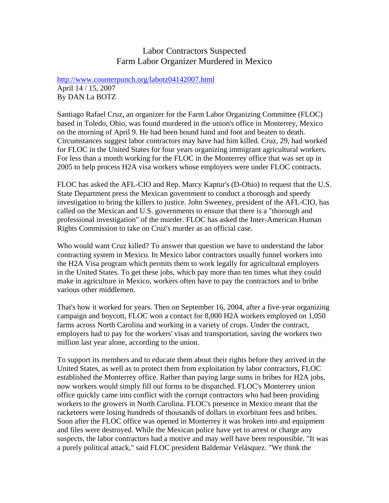## Labor Contractors Suspected Farm Labor Organizer Murdered in Mexico

http://www.counterpunch.org/labotz04142007.html April 14 / 15, 2007 By DAN La BOTZ

Santiago Rafael Cruz, an organizer for the Farm Labor Organizing Committee (FLOC) based in Toledo, Ohio, was found murdered in the union's office in Monterrey, Mexico on the morning of April 9. He had been bound hand and foot and beaten to death. Circumstances suggest labor contractors may have had him killed. Cruz, 29, had worked for FLOC in the United States for four years organizing immigrant agricultural workers. For less than a month working for the FLOC in the Monterrey office that was set up in 2005 to help process H2A visa workers whose employers were under FLOC contracts.

FLOC has asked the AFL-CIO and Rep. Marcy Kaptur's (D-Ohio) to request that the U.S. State Department press the Mexican government to conduct a thorough and speedy investigation to bring the killers to justice. John Sweeney, president of the AFL-CIO, has called on the Mexican and U.S. governments to ensure that there is a "thorough and professional investigation" of the murder. FLOC has asked the Inter-American Human Rights Commission to take on Cruz's murder as an official case.

Who would want Cruz killed? To answer that question we have to understand the labor contracting system in Mexico. In Mexico labor contractors usually funnel workers into the H2A Visa program which permits them to work legally for agricultural employers in the United States. To get these jobs, which pay more than ten times what they could make in agriculture in Mexico, workers often have to pay the contractors and to bribe various other middlemen.

That's how it worked for years. Then on September 16, 2004, after a five-year organizing campaign and boycott, FLOC won a contact for 8,000 H2A workers employed on 1,050 farms across North Carolina and working in a variety of crops. Under the contract, employers had to pay for the workers' visas and transportation, saving the workers two million last year alone, according to the union.

To support its members and to educate them about their rights before they arrived in the United States, as well as to protect them from exploitation by labor contractors, FLOC established the Monterrey office. Rather than paying large sums in bribes for H2A jobs, now workers would simply fill out forms to be dispatched. FLOC's Monterrey union office quickly came into conflict with the corrupt contractors who had been providing workers to the growers in North Carolina. FLOC's presence in Mexico meant that the racketeers were losing hundreds of thousands of dollars in exorbitant fees and bribes. Soon after the FLOC office was opened in Monterrey it was broken into and equipment and files were destroyed. While the Mexican police have yet to arrest or charge any suspects, the labor contractors had a motive and may well have been responsible. "It was a purely political attack," said FLOC president Baldemar Velásquez. "We think the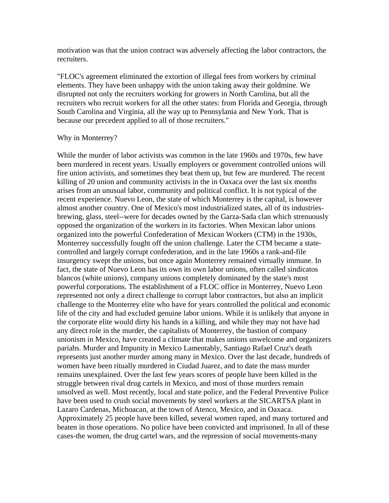motivation was that the union contract was adversely affecting the labor contractors, the recruiters.

"FLOC's agreement eliminated the extortion of illegal fees from workers by criminal elements. They have been unhappy with the union taking away their goldmine. We disrupted not only the recruiters working for growers in North Carolina, but all the recruiters who recruit workers for all the other states: from Florida and Georgia, through South Carolina and Virginia, all the way up to Pennsylania and New York. That is because our precedent applied to all of those recruiters."

## Why in Monterrey?

While the murder of labor activists was common in the late 1960s and 1970s, few have been murdered in recent years. Usually employers or government controlled unions will fire union activists, and sometimes they beat them up, but few are murdered. The recent killing of 20 union and community activists in the in Oaxaca over the last six months arises from an unusual labor, community and political conflict. It is not typical of the recent experience. Nuevo Leon, the state of which Monterrey is the capital, is however almost another country. One of Mexico's most industrialized states, all of its industriesbrewing, glass, steel--were for decades owned by the Garza-Sada clan which strenuously opposed the organization of the workers in its factories. When Mexican labor unions organized into the powerful Confederation of Mexican Workers (CTM) in the 1930s, Monterrey successfully fought off the union challenge. Later the CTM became a statecontrolled and largely corrupt confederation, and in the late 1960s a rank-and-file insurgency swept the unions, but once again Monterrey remained virtually immune. In fact, the state of Nuevo Leon has its own its own labor unions, often called sindicatos blancos (white unions), company unions completely dominated by the state's most powerful corporations. The establishment of a FLOC office in Monterrey, Nuevo Leon represented not only a direct challenge to corrupt labor contractors, but also an implicit challenge to the Monterrey elite who have for years controlled the political and economic life of the city and had excluded genuine labor unions. While it is unlikely that anyone in the corporate elite would dirty his hands in a killing, and while they may not have had any direct role in the murder, the capitalists of Monterrey, the bastion of company unionism in Mexico, have created a climate that makes unions unwelcome and organizers pariahs. Murder and Impunity in Mexico Lamentably, Santiago Rafael Cruz's death represents just another murder among many in Mexico. Over the last decade, hundreds of women have been ritually murdered in Ciudad Juarez, and to date the mass murder remains unexplained. Over the last few years scores of people have been killed in the struggle between rival drug cartels in Mexico, and most of those murders remain unsolved as well. Most recently, local and state police, and the Federal Preventive Police have been used to crush social movements by steel workers at the SICARTSA plant in Lazaro Cardenas, Michoacan, at the town of Atenco, Mexico, and in Oaxaca. Approximately 25 people have been killed, several women raped, and many tortured and beaten in those operations. No police have been convicted and imprisoned. In all of these cases-the women, the drug cartel wars, and the repression of social movements-many